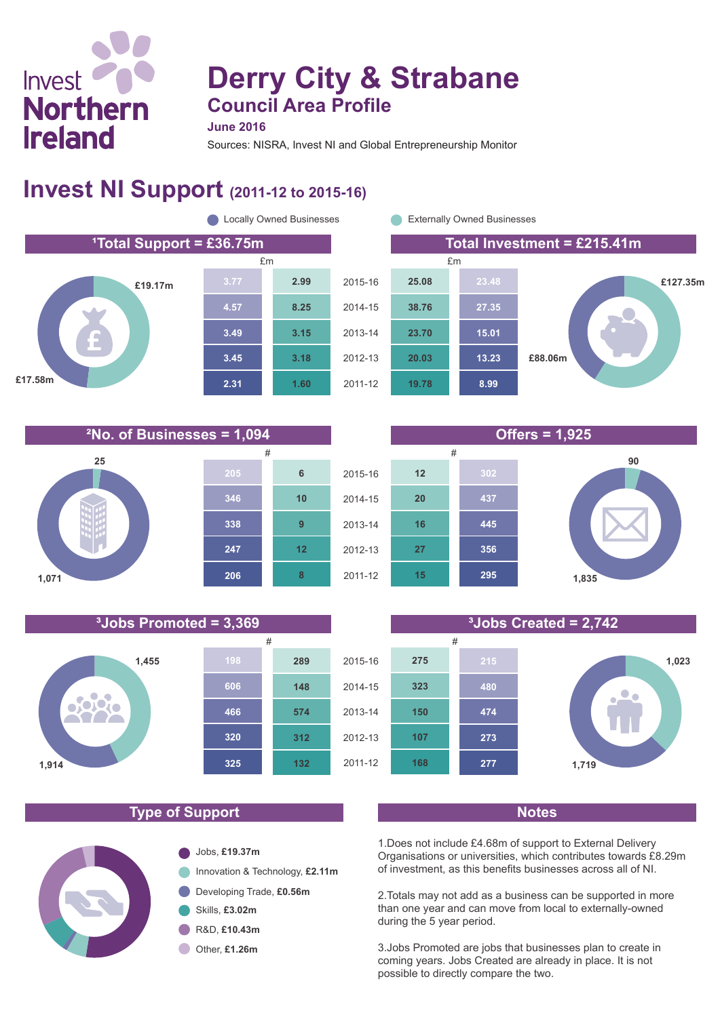## **Derry City & Strabane Council Area Profile**

**June 2016**

Sources: NISRA, Invest NI and Global Entrepreneurship Monitor

2011-12

**168**

**107**

**132**

## **Invest NI Support (2011-12 to 2015-16)**





**²No. of Businesses = 1,094 Offers = 1,925 25 1,071 247 338 346 8 12 9 10 6 206**



**325**

#### **³Jobs Promoted = 3,369 ³Jobs Created = 2,742** 2015-16 2014-15 2013-14 **474 480 150 323 275** # #

**277**

**273**

#### **Type of Support Notes**

**1,914**



**1,719**

**1,023**

1.Does not include £4.68m of support to External Delivery Organisations or universities, which contributes towards £8.29m of investment, as this benefits businesses across all of NI.

2.Totals may not add as a business can be supported in more than one year and can move from local to externally-owned during the 5 year period.

3.Jobs Promoted are jobs that businesses plan to create in coming years. Jobs Created are already in place. It is not possible to directly compare the two.

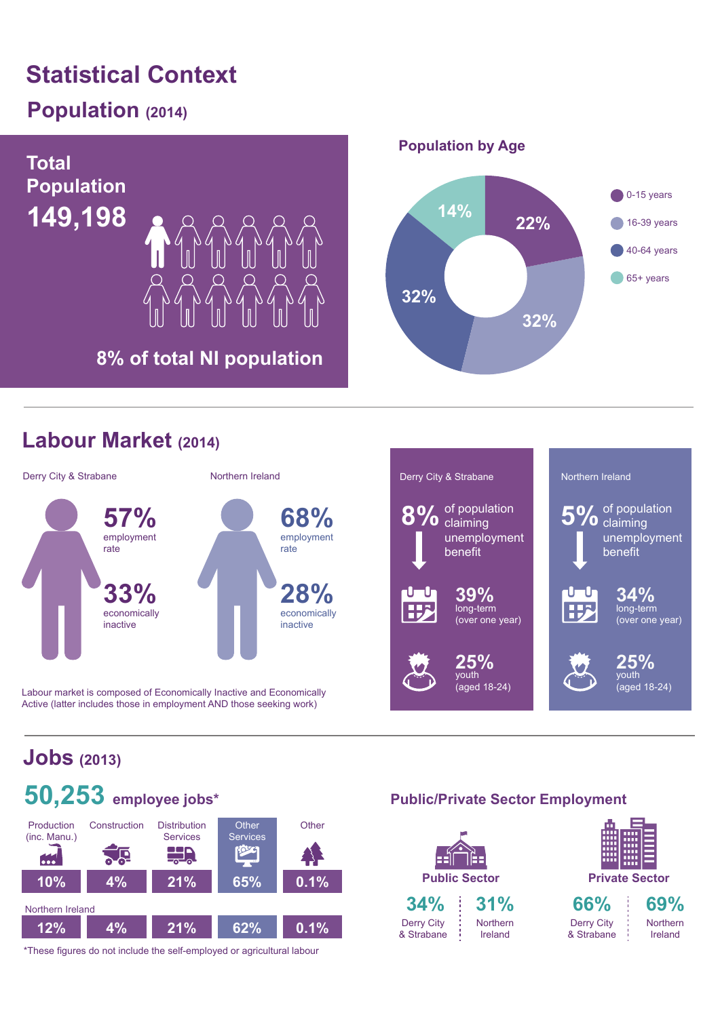## **Statistical Context**

## **Population (2014)**



#### **Labour Market (2014)**



Labour market is composed of Economically Inactive and Economically Active (latter includes those in employment AND those seeking work)



## **Jobs (2013)**



\*These figures do not include the self-employed or agricultural labour

#### **Public/Private Sector Employment**

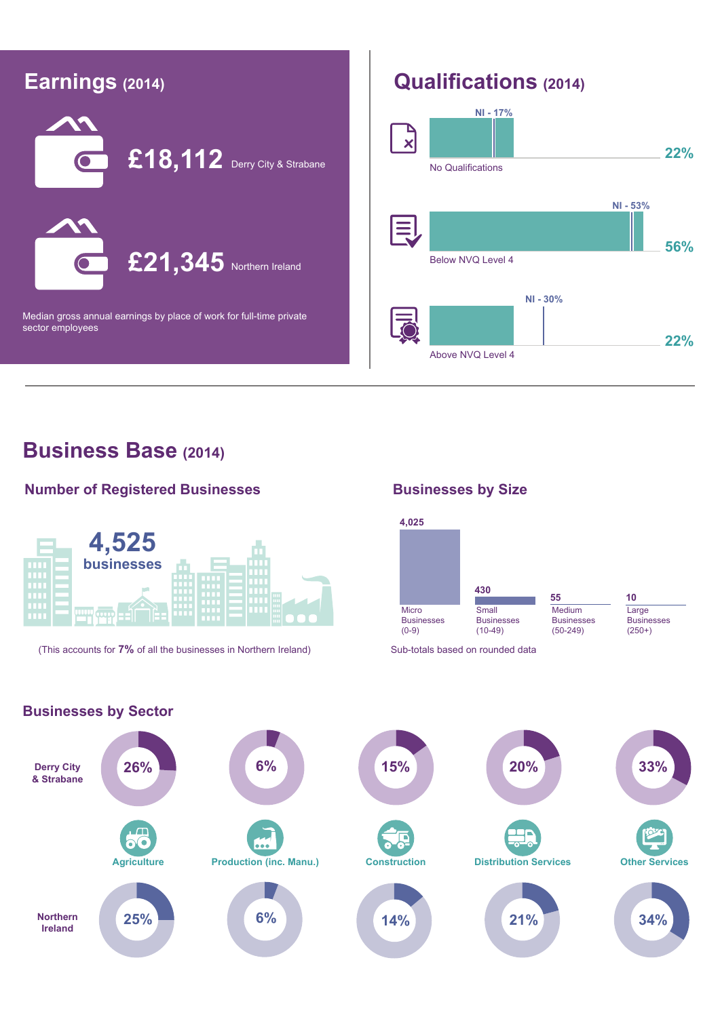

#### **Business Base (2014)**

#### **Number of Registered Businesses**



(This accounts for **7%** of all the businesses in Northern Ireland) Sub-totals based on rounded data

#### **Businesses by Size**